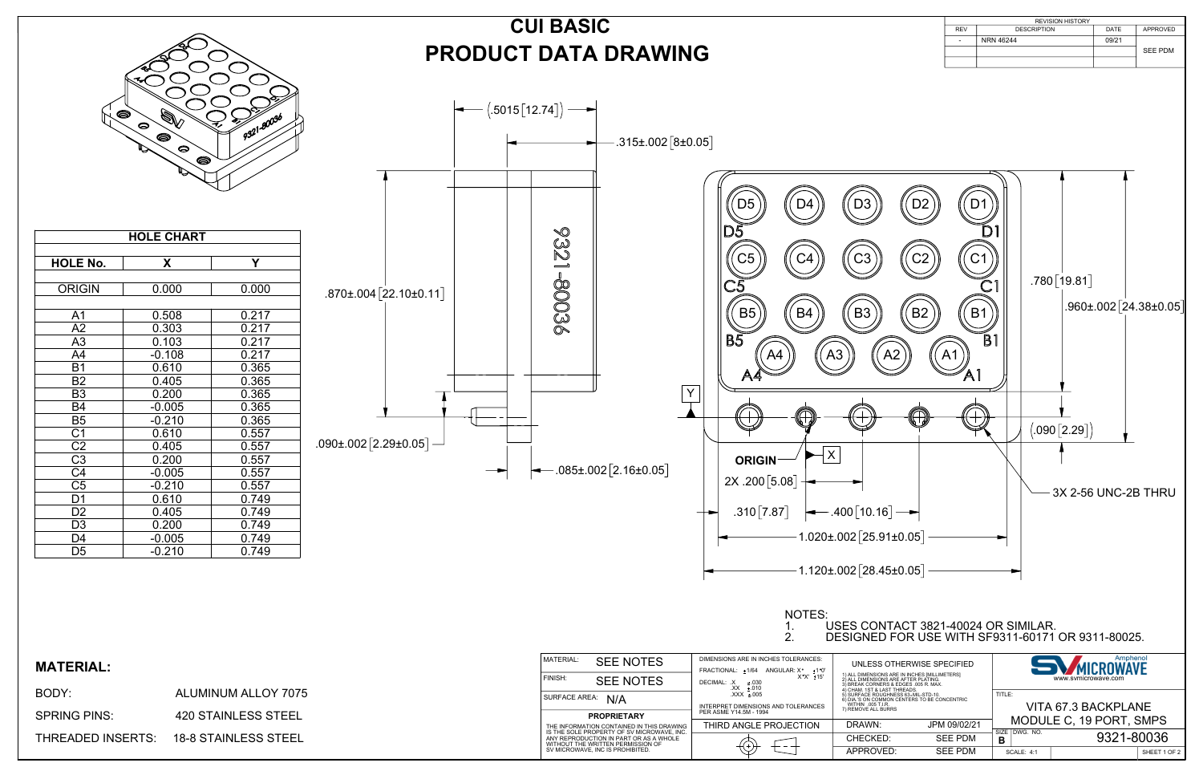

NOTES:<br>1. |<br>2. |



## 1. USES CONTACT 3821-40024 OR SIMILAR. 2. DESIGNED FOR USE WITH SF9311-60171 OR 9311-80025.





|                 | <b>HOLE CHART</b> |       |
|-----------------|-------------------|-------|
| <b>HOLE No.</b> | X                 | Y     |
|                 |                   |       |
| <b>ORIGIN</b>   | 0.000             | 0.000 |
|                 |                   |       |
| A <sub>1</sub>  | 0.508             | 0.217 |
| A2              | 0.303             | 0.217 |
| A <sub>3</sub>  | 0.103             | 0.217 |
| A4              | $-0.108$          | 0.217 |
| B <sub>1</sub>  | 0.610             | 0.365 |
| <b>B2</b>       | 0.405             | 0.365 |
| B <sub>3</sub>  | 0.200             | 0.365 |
| B4              | $-0.005$          | 0.365 |
| $\overline{B5}$ | $-0.210$          | 0.365 |
| C <sub>1</sub>  | 0.610             | 0.557 |
| $\overline{C2}$ | 0.405             | 0.557 |
| C <sub>3</sub>  | 0.200             | 0.557 |
| $\overline{C4}$ | $-0.005$          | 0.557 |
| C <sub>5</sub>  | $-0.210$          | 0.557 |
| D1              | 0.610             | 0.749 |
| D <sub>2</sub>  | 0.405             | 0.749 |
| D <sub>3</sub>  | 0.200             | 0.749 |
| D4              | $-0.005$          | 0.749 |
| D <sub>5</sub>  | $-0.210$          | 0.749 |

| <b>MATERIAL</b><br><b>MATERIAL:</b><br>FINISH:                                                                                                                                                                           | DIMENSIONS ARE IN INCHES TOLERANCES:<br><b>SEE NOTES</b><br><b>SEE NOTES</b> | FRACTIONAL: ±1/64 ANGULAR: X° ±1°0'<br>$X^{\circ}X^{\prime}$ ± 15' | UNLESS OTHERWISE SPECIFIED<br>1) ALL DIMENSIONS ARE IN INCHES [MILLIMETERS]<br>2) ALL DIMENSIONS ARE AFTER PLATING.                                        |                                  |                                      | Amphenol<br>MICROWAVE<br>www.svmicrowave.com   |
|--------------------------------------------------------------------------------------------------------------------------------------------------------------------------------------------------------------------------|------------------------------------------------------------------------------|--------------------------------------------------------------------|------------------------------------------------------------------------------------------------------------------------------------------------------------|----------------------------------|--------------------------------------|------------------------------------------------|
| BODY:<br><b>ALUMINUM ALLOY 7075</b><br>SURFACE AREA: N/A                                                                                                                                                                 | 030.± X. :DECIMAL:<br>010.± XX.<br>005.± XXX.                                | INTERPRET DIMENSIONS AND TOLERANCES                                | SREAK CORNERS & EDGES .005 R. MAX.<br>4) CHAM. 1ST & LAST THREADS.<br>5) SURFACE ROUGHNESS 63. MIL-STD-10.<br>6) DIA.'S ON COMMON CENTERS TO BE CONCENTRIC |                                  | TITLE:                               |                                                |
| <b>420 STAINLESS STEEL</b><br><b>SPRING PINS:</b><br><b>PROPRIETARY</b><br>THE INFORMATION CONTAINED IN THIS DRAWING                                                                                                     | PER ASME Y14.5M - 1994                                                       | THIRD ANGLE PROJECTION                                             | WITHIN .005 T.I.R.<br>7) REMOVE ALL BURRS<br>DRAWN:                                                                                                        | JPM 09/02/21                     |                                      | VITA 67.3 BACKPLANE<br>MODULE C, 19 PORT, SMPS |
| IS THE SOLE PROPERTY OF SV MICROWAVE. INC.<br><b>THREADED INSERTS:</b><br><b>18-8 STAINLESS STEEL</b><br>ANY REPRODUCTION IN PART OR AS A WHOLE<br>WITHOUT THE WRITTEN PERMISSION OF<br>SV MICROWAVE. INC IS PROHIBITED. |                                                                              |                                                                    | CHECKED:<br>APPROVED:                                                                                                                                      | <b>SEE PDM</b><br><b>SEE PDM</b> | SIZE   DWG. NO.<br><b>SCALE: 4:1</b> | 9321-80036<br>SHEET 1 OF 2                     |

## **PRODUCT DATA DRAWING CUI BASIC**